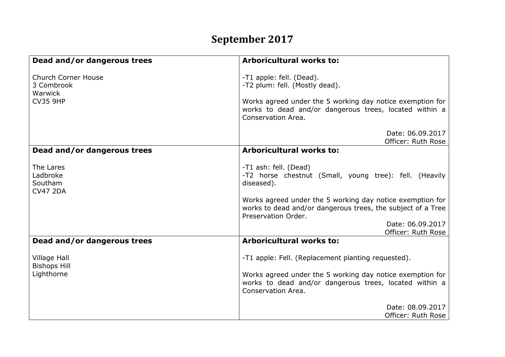## **September 2017**

| Dead and/or dangerous trees                                            | <b>Arboricultural works to:</b>                                                                                                                                                                         |
|------------------------------------------------------------------------|---------------------------------------------------------------------------------------------------------------------------------------------------------------------------------------------------------|
| <b>Church Corner House</b><br>3 Combrook<br>Warwick<br><b>CV35 9HP</b> | -T1 apple: fell. (Dead).<br>-T2 plum: fell. (Mostly dead).<br>Works agreed under the 5 working day notice exemption for<br>works to dead and/or dangerous trees, located within a<br>Conservation Area. |
|                                                                        | Date: 06.09.2017<br>Officer: Ruth Rose                                                                                                                                                                  |
| Dead and/or dangerous trees                                            | <b>Arboricultural works to:</b>                                                                                                                                                                         |
| The Lares<br>Ladbroke<br><b>Southam</b><br><b>CV47 2DA</b>             | -T1 ash: fell. (Dead)<br>-T2 horse chestnut (Small, young tree): fell. (Heavily<br>diseased).                                                                                                           |
|                                                                        | Works agreed under the 5 working day notice exemption for<br>works to dead and/or dangerous trees, the subject of a Tree<br>Preservation Order.                                                         |
|                                                                        | Date: 06.09.2017                                                                                                                                                                                        |
| Dead and/or dangerous trees                                            | Officer: Ruth Rose<br><b>Arboricultural works to:</b>                                                                                                                                                   |
| <b>Village Hall</b><br><b>Bishops Hill</b><br>Lighthorne               | -T1 apple: Fell. (Replacement planting requested).<br>Works agreed under the 5 working day notice exemption for                                                                                         |
|                                                                        | works to dead and/or dangerous trees, located within a<br>Conservation Area.                                                                                                                            |
|                                                                        | Date: 08.09.2017<br>Officer: Ruth Rose                                                                                                                                                                  |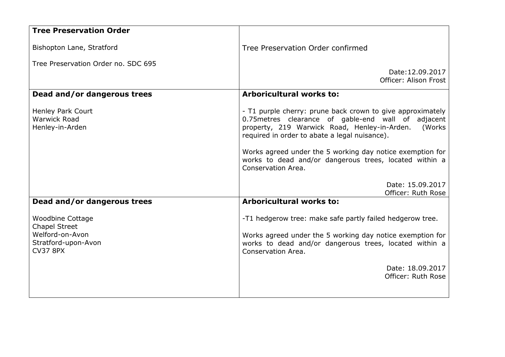| <b>Tree Preservation Order</b>                                                                               |                                                                                                                                                                                                                                                                                                                                                                            |
|--------------------------------------------------------------------------------------------------------------|----------------------------------------------------------------------------------------------------------------------------------------------------------------------------------------------------------------------------------------------------------------------------------------------------------------------------------------------------------------------------|
| Bishopton Lane, Stratford                                                                                    | Tree Preservation Order confirmed                                                                                                                                                                                                                                                                                                                                          |
| Tree Preservation Order no. SDC 695                                                                          |                                                                                                                                                                                                                                                                                                                                                                            |
|                                                                                                              | Date: 12.09.2017<br>Officer: Alison Frost                                                                                                                                                                                                                                                                                                                                  |
| Dead and/or dangerous trees                                                                                  | <b>Arboricultural works to:</b>                                                                                                                                                                                                                                                                                                                                            |
| Henley Park Court<br><b>Warwick Road</b><br>Henley-in-Arden                                                  | - T1 purple cherry: prune back crown to give approximately<br>0.75 metres clearance of gable-end wall of adjacent<br>property, 219 Warwick Road, Henley-in-Arden.<br>(Works)<br>required in order to abate a legal nuisance).<br>Works agreed under the 5 working day notice exemption for<br>works to dead and/or dangerous trees, located within a<br>Conservation Area. |
|                                                                                                              | Date: 15.09.2017<br>Officer: Ruth Rose                                                                                                                                                                                                                                                                                                                                     |
| Dead and/or dangerous trees                                                                                  | <b>Arboricultural works to:</b>                                                                                                                                                                                                                                                                                                                                            |
| <b>Woodbine Cottage</b><br><b>Chapel Street</b><br>Welford-on-Avon<br>Stratford-upon-Avon<br><b>CV37 8PX</b> | -T1 hedgerow tree: make safe partly failed hedgerow tree.<br>Works agreed under the 5 working day notice exemption for<br>works to dead and/or dangerous trees, located within a<br>Conservation Area.                                                                                                                                                                     |
|                                                                                                              | Date: 18.09.2017<br>Officer: Ruth Rose                                                                                                                                                                                                                                                                                                                                     |